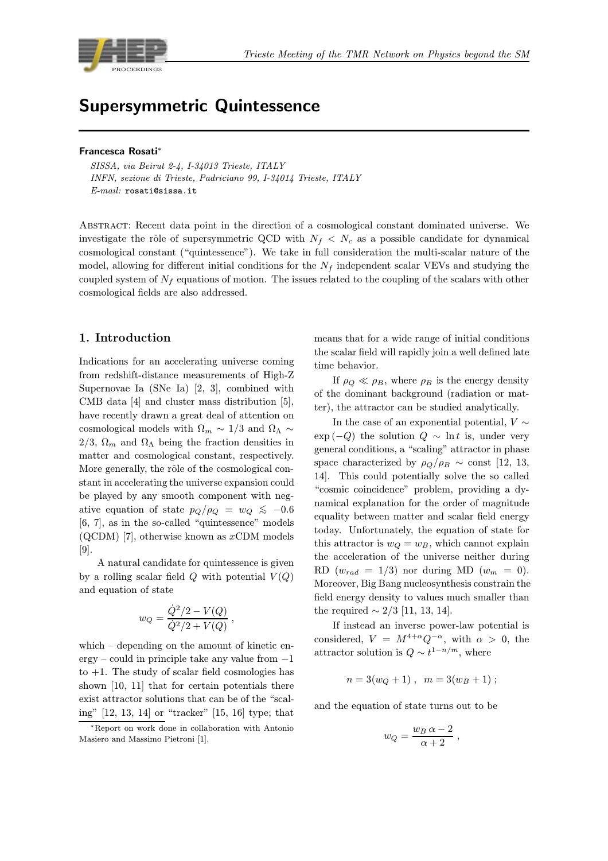

# Supersymmetric Quintessence

#### Francesca Rosati<sup>∗</sup>

SISSA, via Beirut 2-4, I-34013 Trieste, ITALY INFN, sezione di Trieste, Padriciano 99, I-34014 Trieste, ITALY E-mail: rosati@sissa.it

Abstract: Recent data point in the direction of a cosmological constant dominated universe. We investigate the rôle of supersymmetric QCD with  $N_f \langle N_c \rangle$  as a possible candidate for dynamical cosmological constant ("quintessence"). We take in full consideration the multi-scalar nature of the model, allowing for different initial conditions for the  $N_f$  independent scalar VEVs and studying the coupled system of  $N_f$  equations of motion. The issues related to the coupling of the scalars with other cosmological fields are also addressed.

## 1. Introduction

Indications for an accelerating universe coming from redshift-distance measurements of High-Z Supernovae Ia (SNe Ia) [2, 3], combined with CMB data [4] and cluster mass distribution [5], have recently drawn a great deal of attention on cosmological models with  $\Omega_m \sim 1/3$  and  $\Omega_{\Lambda} \sim$ 2/3,  $\Omega_m$  and  $\Omega_{\Lambda}$  being the fraction densities in matter and cosmological constant, respectively. More generally, the rôle of the cosmological constant in accelerating the universe expansion could be played by any smooth component with negative equation of state  $p_Q/\rho_Q = w_Q \leq -0.6$ [6, 7], as in the so-called "quintessence" models (QCDM) [7], otherwise known as  $xCDM$  models [9].

A natural candidate for quintessence is given by a rolling scalar field  $Q$  with potential  $V(Q)$ and equation of state

$$
w_Q = \frac{\dot{Q}^2/2 - V(Q)}{\dot{Q}^2/2 + V(Q)} ,
$$

which – depending on the amount of kinetic energy – could in principle take any value from −1 to  $+1$ . The study of scalar field cosmologies has shown [10, 11] that for certain potentials there exist attractor solutions that can be of the "scaling" [12, 13, 14] or "tracker" [15, 16] type; that means that for a wide range of initial conditions the scalar field will rapidly join a well defined late time behavior.

If  $\rho_Q \ll \rho_B$ , where  $\rho_B$  is the energy density of the dominant background (radiation or matter), the attractor can be studied analytically.

In the case of an exponential potential,  $V \sim$  $\exp(-Q)$  the solution  $Q \sim \ln t$  is, under very general conditions, a "scaling" attractor in phase space characterized by  $\rho_Q/\rho_B \sim \text{const}$  [12, 13, 14]. This could potentially solve the so called "cosmic coincidence" problem, providing a dynamical explanation for the order of magnitude equality between matter and scalar field energy today. Unfortunately, the equation of state for this attractor is  $w_O = w_B$ , which cannot explain the acceleration of the universe neither during RD  $(w_{rad} = 1/3)$  nor during MD  $(w_m = 0)$ . Moreover, Big Bang nucleosynthesis constrain the field energy density to values much smaller than the required  $\sim$  2/3 [11, 13, 14].

If instead an inverse power-law potential is considered,  $V = M^{4+\alpha}Q^{-\alpha}$ , with  $\alpha > 0$ , the attractor solution is  $Q \sim t^{1-n/m}$ , where

$$
n = 3(wQ + 1), \quad m = 3(wB + 1);
$$

and the equation of state turns out to be

$$
w_Q = \frac{w_B \alpha - 2}{\alpha + 2} \;,
$$

<sup>∗</sup>Report on work done in collaboration with Antonio Masiero and Massimo Pietroni [1].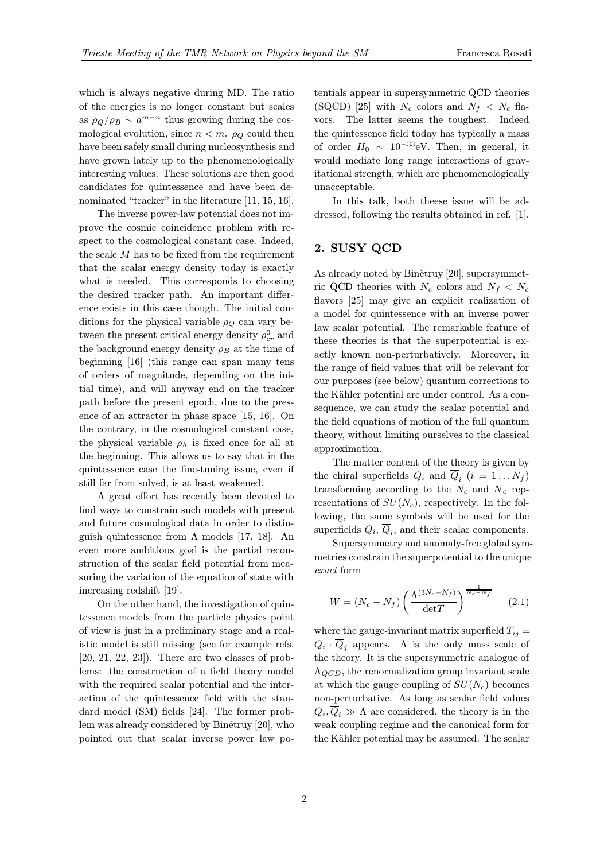which is always negative during MD. The ratio of the energies is no longer constant but scales as  $\rho_Q/\rho_B \sim a^{m-n}$  thus growing during the cosmological evolution, since  $n < m$ .  $\rho_Q$  could then have been safely small during nucleosynthesis and have grown lately up to the phenomenologically interesting values. These solutions are then good candidates for quintessence and have been denominated "tracker" in the literature [11, 15, 16].

The inverse power-law potential does not improve the cosmic coincidence problem with respect to the cosmological constant case. Indeed, the scale  $M$  has to be fixed from the requirement that the scalar energy density today is exactly what is needed. This corresponds to choosing the desired tracker path. An important difference exists in this case though. The initial conditions for the physical variable  $\rho_Q$  can vary between the present critical energy density  $\rho_{cr}^0$  and the background energy density  $\rho_B$  at the time of beginning [16] (this range can span many tens of orders of magnitude, depending on the initial time), and will anyway end on the tracker path before the present epoch, due to the presence of an attractor in phase space [15, 16]. On the contrary, in the cosmological constant case, the physical variable  $\rho_{\Lambda}$  is fixed once for all at the beginning. This allows us to say that in the quintessence case the fine-tuning issue, even if still far from solved, is at least weakened.

A great effort has recently been devoted to find ways to constrain such models with present and future cosmological data in order to distinguish quintessence from  $\Lambda$  models [17, 18]. An even more ambitious goal is the partial reconstruction of the scalar field potential from measuring the variation of the equation of state with increasing redshift [19].

On the other hand, the investigation of quintessence models from the particle physics point of view is just in a preliminary stage and a realistic model is still missing (see for example refs. [20, 21, 22, 23]). There are two classes of problems: the construction of a field theory model with the required scalar potential and the interaction of the quintessence field with the standard model (SM) fields [24]. The former problem was already considered by Binétruy [20], who pointed out that scalar inverse power law potentials appear in supersymmetric QCD theories (SQCD) [25] with  $N_c$  colors and  $N_f \ll N_c$  flavors. The latter seems the toughest. Indeed the quintessence field today has typically a mass of order  $H_0 \sim 10^{-33}$ eV. Then, in general, it would mediate long range interactions of gravitational strength, which are phenomenologically unacceptable.

In this talk, both theese issue will be addressed, following the results obtained in ref. [1].

# 2. SUSY QCD

As already noted by Binètruy [20], supersymmetric QCD theories with  $N_c$  colors and  $N_f \langle N_c \rangle$ flavors [25] may give an explicit realization of a model for quintessence with an inverse power law scalar potential. The remarkable feature of these theories is that the superpotential is exactly known non-perturbatively. Moreover, in the range of field values that will be relevant for our purposes (see below) quantum corrections to the Kähler potential are under control. As a consequence, we can study the scalar potential and the field equations of motion of the full quantum theory, without limiting ourselves to the classical approximation.

The matter content of the theory is given by the chiral superfields  $Q_i$  and  $\overline{Q}_i$   $(i = 1...N_f)$ transforming according to the  $N_c$  and  $\overline{N}_c$  representations of  $SU(N_c)$ , respectively. In the following, the same symbols will be used for the superfields  $Q_i$ ,  $\overline{Q}_i$ , and their scalar components.

Supersymmetry and anomaly-free global symmetries constrain the superpotential to the unique exact form

$$
W = (N_c - N_f) \left(\frac{\Lambda^{(3N_c - N_f)}}{\det T}\right)^{\frac{1}{N_c - N_f}} \tag{2.1}
$$

where the gauge-invariant matrix superfield  $T_{ij} =$  $Q_i \cdot \overline{Q}_i$  appears. A is the only mass scale of the theory. It is the supersymmetric analogue of  $\Lambda_{QCD}$ , the renormalization group invariant scale at which the gauge coupling of  $SU(N_c)$  becomes non-perturbative. As long as scalar field values  $Q_i, \overline{Q}_i \gg \Lambda$  are considered, the theory is in the weak coupling regime and the canonical form for the Kähler potential may be assumed. The scalar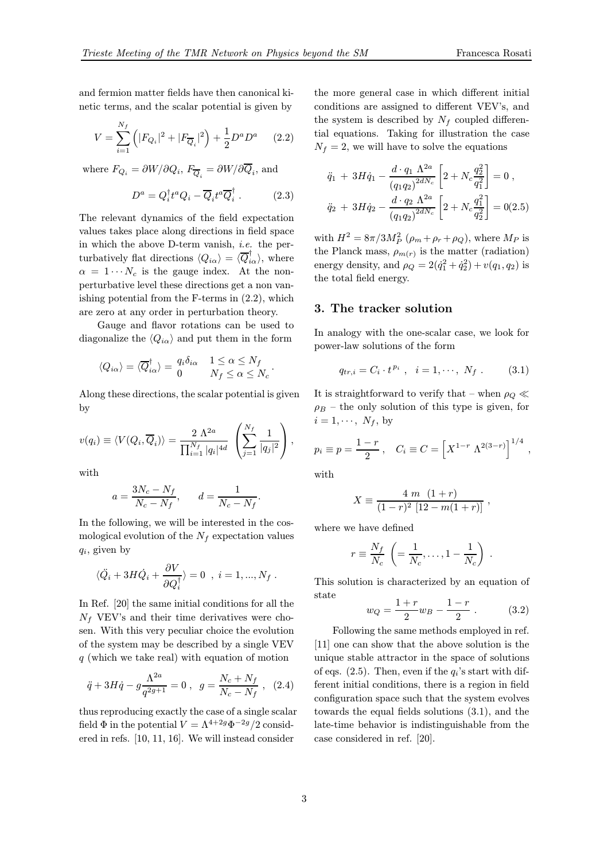and fermion matter fields have then canonical kinetic terms, and the scalar potential is given by

$$
V = \sum_{i=1}^{N_f} \left( |F_{Q_i}|^2 + |F_{\overline{Q}_i}|^2 \right) + \frac{1}{2} D^a D^a \qquad (2.2)
$$

where  $F_{Q_i} = \partial W / \partial Q_i$ ,  $F_{\overline{Q}_i} = \partial W / \partial Q_i$ , and

$$
D^a = Q_i^{\dagger} t^a Q_i - \overline{Q}_i t^a \overline{Q}_i^{\dagger} . \qquad (2.3)
$$

The relevant dynamics of the field expectation values takes place along directions in field space in which the above D-term vanish, i.e. the perturbatively flat directions  $\langle Q_{i\alpha} \rangle = \langle \overline{Q}_{i\alpha}^{\dagger} \rangle$ , where  $\alpha = 1 \cdots N_c$  is the gauge index. At the nonperturbative level these directions get a non vanishing potential from the F-terms in (2.2), which are zero at any order in perturbation theory.

Gauge and flavor rotations can be used to diagonalize the  $\langle Q_{i\alpha} \rangle$  and put them in the form

$$
\langle Q_{i\alpha} \rangle = \langle \overline{Q}_{i\alpha}^{\dagger} \rangle = \begin{cases} q_i \delta_{i\alpha} & 1 \leq \alpha \leq N_f \\ 0 & N_f \leq \alpha \leq N_c \end{cases}.
$$

Along these directions, the scalar potential is given by

$$
v(q_i) \equiv \langle V(Q_i, \overline{Q}_i) \rangle = \frac{2 \Lambda^{2a}}{\prod_{i=1}^{N_f} |q_i|^{4d}} \left( \sum_{j=1}^{N_f} \frac{1}{|q_j|^2} \right),
$$

with

$$
a = \frac{3N_c - N_f}{N_c - N_f}, \qquad d = \frac{1}{N_c - N_f}.
$$

In the following, we will be interested in the cosmological evolution of the  $N_f$  expectation values  $q_i$ , given by

$$
\langle \ddot{Q}_i + 3H\dot{Q}_i + \frac{\partial V}{\partial Q_i^{\dagger}} \rangle = 0 \text{ , } i = 1, ..., N_f .
$$

In Ref. [20] the same initial conditions for all the  $N_f$  VEV's and their time derivatives were chosen. With this very peculiar choice the evolution of the system may be described by a single VEV  $q$  (which we take real) with equation of motion

$$
\ddot{q} + 3H\dot{q} - g\frac{\Lambda^{2a}}{q^{2g+1}} = 0 \ , \ \ g = \frac{N_c + N_f}{N_c - N_f} \ , \ \ (2.4)
$$

thus reproducing exactly the case of a single scalar field  $\Phi$  in the potential  $V = \Lambda^{4+2g} \Phi^{-2g} / 2$  considered in refs. [10, 11, 16]. We will instead consider

the more general case in which different initial conditions are assigned to different VEV's, and the system is described by  $N_f$  coupled differential equations. Taking for illustration the case  $N_f = 2$ , we will have to solve the equations

$$
\ddot{q}_1 + 3H\dot{q}_1 - \frac{d \cdot q_1 \Lambda^{2a}}{(q_1 q_2)^{2dN_c}} \left[ 2 + N_c \frac{q_2^2}{q_1^2} \right] = 0 ,
$$
  

$$
\ddot{q}_2 + 3H\dot{q}_2 - \frac{d \cdot q_2 \Lambda^{2a}}{(q_1 q_2)^{2dN_c}} \left[ 2 + N_c \frac{q_1^2}{q_2^2} \right] = 0 (2.5)
$$

with  $H^2 = 8\pi/3M_P^2$   $(\rho_m + \rho_r + \rho_Q)$ , where  $M_P$  is the Planck mass,  $\rho_{m(r)}$  is the matter (radiation) energy density, and  $\rho_Q = 2(\dot{q}_1^2 + \dot{q}_2^2) + v(q_1, q_2)$  is the total field energy.

## 3. The tracker solution

In analogy with the one-scalar case, we look for power-law solutions of the form

$$
q_{tr,i} = C_i \cdot t^{p_i} \ , \quad i = 1, \cdots, N_f \ . \tag{3.1}
$$

It is straightforward to verify that – when  $\rho_Q \ll$  $\rho_B$  – the only solution of this type is given, for  $i = 1, \cdots, N_f,$  by

$$
p_i \equiv p = \frac{1-r}{2}
$$
,  $C_i \equiv C = [X^{1-r} \Lambda^{2(3-r)}]^{1/4}$ ,

with

$$
X \equiv \frac{4 \ m \ (1+r)}{(1-r)^2 \ [12-m(1+r)]},
$$

where we have defined

$$
r \equiv \frac{N_f}{N_c} \left( = \frac{1}{N_c}, \dots, 1 - \frac{1}{N_c} \right)
$$

This solution is characterized by an equation of state

$$
w_Q = \frac{1+r}{2}w_B - \frac{1-r}{2} \ . \tag{3.2}
$$

.

Following the same methods employed in ref. [11] one can show that the above solution is the unique stable attractor in the space of solutions of eqs. (2.5). Then, even if the  $q_i$ 's start with different initial conditions, there is a region in field configuration space such that the system evolves towards the equal fields solutions (3.1), and the late-time behavior is indistinguishable from the case considered in ref. [20].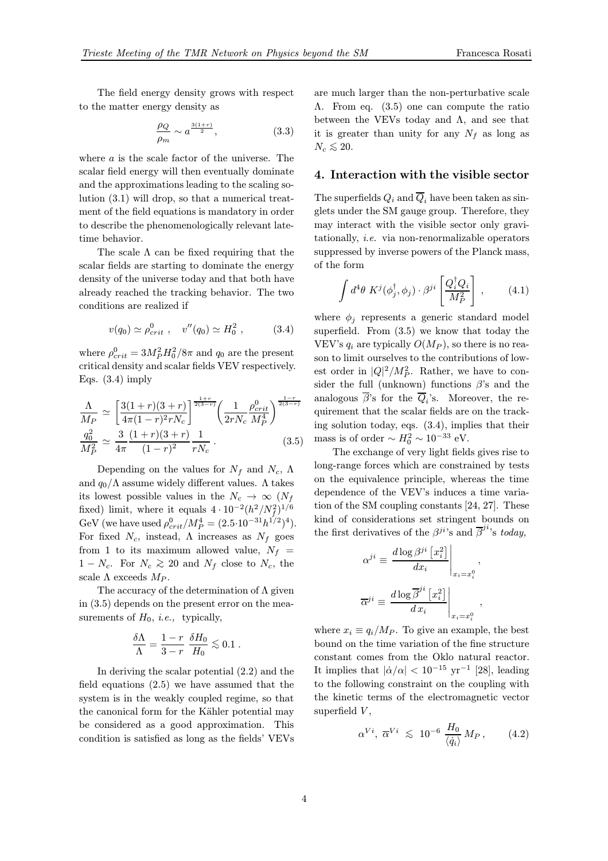The field energy density grows with respect to the matter energy density as

$$
\frac{\rho_Q}{\rho_m} \sim a^{\frac{3(1+r)}{2}},\tag{3.3}
$$

where a is the scale factor of the universe. The scalar field energy will then eventually dominate and the approximations leading to the scaling solution (3.1) will drop, so that a numerical treatment of the field equations is mandatory in order to describe the phenomenologically relevant latetime behavior.

The scale  $\Lambda$  can be fixed requiring that the scalar fields are starting to dominate the energy density of the universe today and that both have already reached the tracking behavior. The two conditions are realized if

$$
v(q_0) \simeq \rho_{crit}^0
$$
,  $v''(q_0) \simeq H_0^2$ , (3.4)

where  $\rho_{crit}^0 = 3M_P^2 H_0^2/8\pi$  and  $q_0$  are the present critical density and scalar fields VEV respectively. Eqs.  $(3.4)$  imply

$$
\frac{\Lambda}{M_P} \simeq \left[ \frac{3(1+r)(3+r)}{4\pi(1-r)^2 r N_c} \right]^{\frac{1+r}{2(3-r)}} \left( \frac{1}{2r N_c} \frac{\rho_{crit}^0}{M_P^4} \right)^{\frac{1-r}{2(3-r)}}
$$
\n
$$
\frac{q_0^2}{M_P^2} \simeq \frac{3}{4\pi} \frac{(1+r)(3+r)}{(1-r)^2} \frac{1}{r N_c} \,. \tag{3.5}
$$

Depending on the values for  $N_f$  and  $N_c$ ,  $\Lambda$ and  $q_0/\Lambda$  assume widely different values.  $\Lambda$  takes its lowest possible values in the  $N_c \rightarrow \infty$  ( $N_f$ fixed) limit, where it equals  $4 \cdot 10^{-2} (h^2/N_f^2)^{1/6}$ GeV (we have used  $\rho_{crit}^0/M_P^4 = (2.5 \cdot 10^{-31} h^{1/2})^4$ ). For fixed  $N_c$ , instead,  $\Lambda$  increases as  $N_f$  goes from 1 to its maximum allowed value,  $N_f$  =  $1 - N_c$ . For  $N_c \gtrsim 20$  and  $N_f$  close to  $N_c$ , the scale  $\Lambda$  exceeds  $M_P$ .

The accuracy of the determination of  $\Lambda$  given in (3.5) depends on the present error on the measurements of  $H_0$ , *i.e.*, typically,

$$
\frac{\delta\Lambda}{\Lambda} = \frac{1-r}{3-r} \frac{\delta H_0}{H_0} \lesssim 0.1.
$$

In deriving the scalar potential (2.2) and the field equations (2.5) we have assumed that the system is in the weakly coupled regime, so that the canonical form for the Kähler potential may be considered as a good approximation. This condition is satisfied as long as the fields' VEVs are much larger than the non-perturbative scale Λ. From eq. (3.5) one can compute the ratio between the VEVs today and  $\Lambda$ , and see that it is greater than unity for any  $N_f$  as long as  $N_c$  ≲ 20.

## 4. Interaction with the visible sector

The superfields  $Q_i$  and  $\overline{Q}_i$  have been taken as singlets under the SM gauge group. Therefore, they may interact with the visible sector only gravitationally, i.e. via non-renormalizable operators suppressed by inverse powers of the Planck mass, of the form

$$
\int d^4\theta \; K^j(\phi_j^{\dagger}, \phi_j) \cdot \beta^{ji} \left[ \frac{Q_i^{\dagger} Q_i}{M_P^2} \right] \,, \tag{4.1}
$$

where  $\phi_i$  represents a generic standard model superfield. From (3.5) we know that today the VEV's  $q_i$  are typically  $O(M_P)$ , so there is no reason to limit ourselves to the contributions of lowest order in  $|Q|^2/M_P^2$ . Rather, we have to consider the full (unknown) functions  $\beta$ 's and the analogous  $\overline{\beta}$ 's for the  $\overline{Q}_i$ 's. Moreover, the requirement that the scalar fields are on the tracking solution today, eqs. (3.4), implies that their mass is of order  $\sim H_0^2 \sim 10^{-33}$  eV.

The exchange of very light fields gives rise to long-range forces which are constrained by tests on the equivalence principle, whereas the time dependence of the VEV's induces a time variation of the SM coupling constants [24, 27]. These kind of considerations set stringent bounds on the first derivatives of the  $\beta^{ji}$ 's and  $\overline{\beta}^{ji}$ 's today,

$$
\alpha^{ji} \equiv \left. \frac{d \log \beta^{ji} \left[ x_i^2 \right]}{dx_i} \right|_{x_i = x_i^0},
$$
  

$$
\overline{\alpha}^{ji} \equiv \left. \frac{d \log \overline{\beta}^{ji} \left[ x_i^2 \right]}{dx_i} \right|_{x_i = x_i^0},
$$

where  $x_i \equiv q_i/M_P$ . To give an example, the best bound on the time variation of the fine structure constant comes from the Oklo natural reactor. It implies that  $|\dot{\alpha}/\alpha| < 10^{-15}$  yr<sup>-1</sup> [28], leading to the following constraint on the coupling with the kinetic terms of the electromagnetic vector superfield  $V$ ,

$$
\alpha^{Vi}, \overline{\alpha}^{Vi} \leq 10^{-6} \frac{H_0}{\langle \dot{q}_i \rangle} M_P, \qquad (4.2)
$$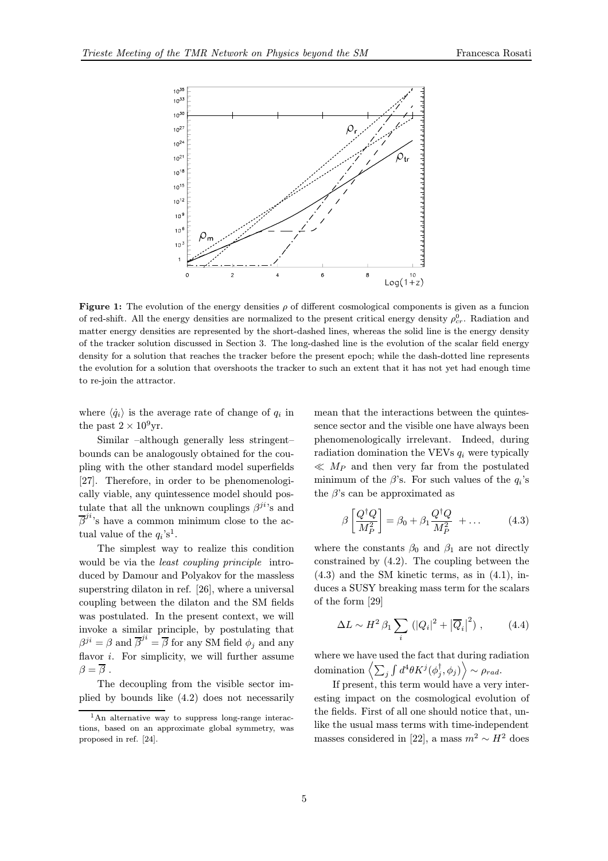

**Figure 1:** The evolution of the energy densities  $\rho$  of different cosmological components is given as a funcion of red-shift. All the energy densities are normalized to the present critical energy density  $\rho_{cr}^0$ . Radiation and matter energy densities are represented by the short-dashed lines, whereas the solid line is the energy density of the tracker solution discussed in Section 3. The long-dashed line is the evolution of the scalar field energy density for a solution that reaches the tracker before the present epoch; while the dash-dotted line represents the evolution for a solution that overshoots the tracker to such an extent that it has not yet had enough time to re-join the attractor.

where  $\langle \dot{q}_i \rangle$  is the average rate of change of  $q_i$  in the past  $2 \times 10^9$ yr.

Similar –although generally less stringent– bounds can be analogously obtained for the coupling with the other standard model superfields [27]. Therefore, in order to be phenomenologically viable, any quintessence model should postulate that all the unknown couplings  $\beta^{ji}$ 's and  $\overline{\beta}^{ji}$ 's have a common minimum close to the actual value of the  $q_i$ 's<sup>1</sup>.

The simplest way to realize this condition would be via the least coupling principle introduced by Damour and Polyakov for the massless superstring dilaton in ref. [26], where a universal coupling between the dilaton and the SM fields was postulated. In the present context, we will invoke a similar principle, by postulating that  $\beta^{ji} = \beta$  and  $\overline{\beta}^{ji} = \overline{\beta}$  for any SM field  $\phi_j$  and any flavor  $i$ . For simplicity, we will further assume  $\beta = \overline{\beta}$ .

The decoupling from the visible sector implied by bounds like (4.2) does not necessarily mean that the interactions between the quintessence sector and the visible one have always been phenomenologically irrelevant. Indeed, during radiation domination the VEVs  $q_i$  were typically  $\ll M_P$  and then very far from the postulated minimum of the  $\beta$ 's. For such values of the  $q_i$ 's the  $\beta$ 's can be approximated as

$$
\beta \left[ \frac{Q^{\dagger} Q}{M_P^2} \right] = \beta_0 + \beta_1 \frac{Q^{\dagger} Q}{M_P^2} + \dots \tag{4.3}
$$

where the constants  $\beta_0$  and  $\beta_1$  are not directly constrained by (4.2). The coupling between the (4.3) and the SM kinetic terms, as in (4.1), induces a SUSY breaking mass term for the scalars of the form [29]

$$
\Delta L \sim H^2 \beta_1 \sum_i \left( |Q_i|^2 + |\overline{Q}_i|^2 \right), \qquad (4.4)
$$

where we have used the fact that during radiation  $\left\langle \text{domination} \left\langle \sum_j \int d^4\theta K^j(\phi_j^\dagger,\phi_j) \right\rangle \sim \rho_{rad}. \right.$ 

If present, this term would have a very interesting impact on the cosmological evolution of the fields. First of all one should notice that, unlike the usual mass terms with time-independent masses considered in [22], a mass  $m^2 \sim H^2$  does

<sup>&</sup>lt;sup>1</sup>An alternative way to suppress long-range interactions, based on an approximate global symmetry, was proposed in ref. [24].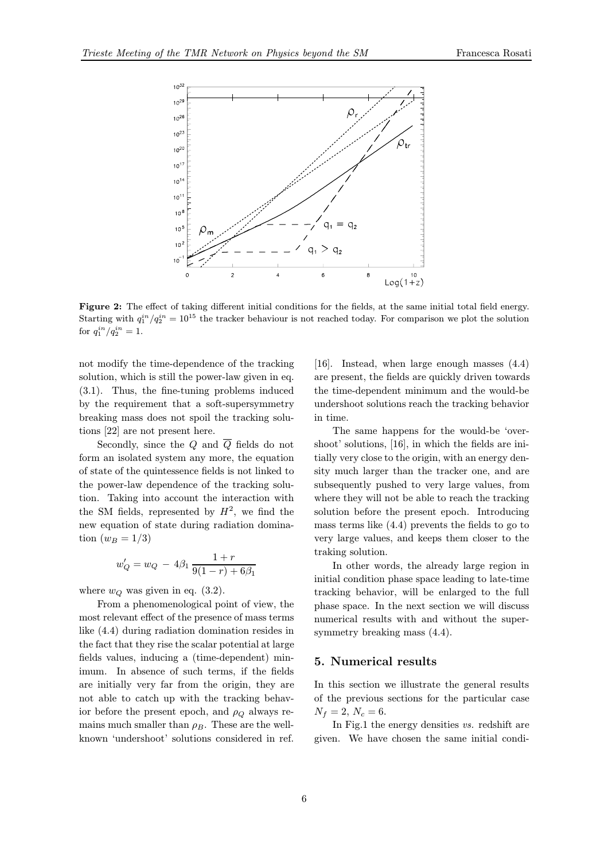

Figure 2: The effect of taking different initial conditions for the fields, at the same initial total field energy. Starting with  $q_1^{in}/q_2^{in} = 10^{15}$  the tracker behaviour is not reached today. For comparison we plot the solution for  $q_1^{in}/q_2^{in} = 1$ .

not modify the time-dependence of the tracking solution, which is still the power-law given in eq. (3.1). Thus, the fine-tuning problems induced by the requirement that a soft-supersymmetry breaking mass does not spoil the tracking solutions [22] are not present here.

Secondly, since the Q and  $\overline{Q}$  fields do not form an isolated system any more, the equation of state of the quintessence fields is not linked to the power-law dependence of the tracking solution. Taking into account the interaction with the SM fields, represented by  $H^2$ , we find the new equation of state during radiation domination  $(w_B = 1/3)$ 

$$
w'_Q = w_Q - 4\beta_1 \frac{1+r}{9(1-r)+6\beta_1}
$$

where  $w_Q$  was given in eq. (3.2).

From a phenomenological point of view, the most relevant effect of the presence of mass terms like (4.4) during radiation domination resides in the fact that they rise the scalar potential at large fields values, inducing a (time-dependent) minimum. In absence of such terms, if the fields are initially very far from the origin, they are not able to catch up with the tracking behavior before the present epoch, and  $\rho_Q$  always remains much smaller than  $\rho_B$ . These are the wellknown 'undershoot' solutions considered in ref.

[16]. Instead, when large enough masses (4.4) are present, the fields are quickly driven towards the time-dependent minimum and the would-be undershoot solutions reach the tracking behavior in time.

The same happens for the would-be 'overshoot' solutions, [16], in which the fields are initially very close to the origin, with an energy density much larger than the tracker one, and are subsequently pushed to very large values, from where they will not be able to reach the tracking solution before the present epoch. Introducing mass terms like (4.4) prevents the fields to go to very large values, and keeps them closer to the traking solution.

In other words, the already large region in initial condition phase space leading to late-time tracking behavior, will be enlarged to the full phase space. In the next section we will discuss numerical results with and without the supersymmetry breaking mass (4.4).

#### 5. Numerical results

In this section we illustrate the general results of the previous sections for the particular case  $N_f = 2, N_c = 6.$ 

In Fig.1 the energy densities vs. redshift are given. We have chosen the same initial condi-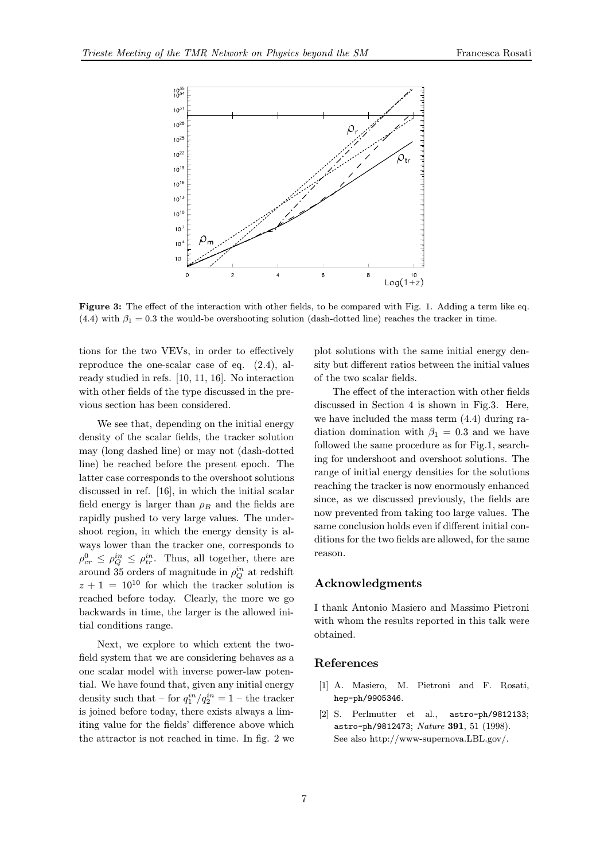

Figure 3: The effect of the interaction with other fields, to be compared with Fig. 1. Adding a term like eq.  $(4.4)$  with  $\beta_1 = 0.3$  the would-be overshooting solution (dash-dotted line) reaches the tracker in time.

tions for the two VEVs, in order to effectively reproduce the one-scalar case of eq. (2.4), already studied in refs. [10, 11, 16]. No interaction with other fields of the type discussed in the previous section has been considered.

We see that, depending on the initial energy density of the scalar fields, the tracker solution may (long dashed line) or may not (dash-dotted line) be reached before the present epoch. The latter case corresponds to the overshoot solutions discussed in ref. [16], in which the initial scalar field energy is larger than  $\rho_B$  and the fields are rapidly pushed to very large values. The undershoot region, in which the energy density is always lower than the tracker one, corresponds to  $\rho_{cr}^0 \leq \rho_{Q}^{in} \leq \rho_{tr}^{in}$ . Thus, all together, there are around 35 orders of magnitude in  $\rho^{in}_Q$  at redshift  $z + 1 = 10^{10}$  for which the tracker solution is reached before today. Clearly, the more we go backwards in time, the larger is the allowed initial conditions range.

Next, we explore to which extent the twofield system that we are considering behaves as a one scalar model with inverse power-law potential. We have found that, given any initial energy density such that – for  $q_1^{in}/q_2^{in} = 1$  – the tracker is joined before today, there exists always a limiting value for the fields' difference above which the attractor is not reached in time. In fig. 2 we plot solutions with the same initial energy density but different ratios between the initial values of the two scalar fields.

The effect of the interaction with other fields discussed in Section 4 is shown in Fig.3. Here, we have included the mass term (4.4) during radiation domination with  $\beta_1 = 0.3$  and we have followed the same procedure as for Fig.1, searching for undershoot and overshoot solutions. The range of initial energy densities for the solutions reaching the tracker is now enormously enhanced since, as we discussed previously, the fields are now prevented from taking too large values. The same conclusion holds even if different initial conditions for the two fields are allowed, for the same reason.

## Acknowledgments

I thank Antonio Masiero and Massimo Pietroni with whom the results reported in this talk were obtained.

#### References

- [1] A. Masiero, M. Pietroni and F. Rosati, hep-ph/9905346.
- [2] S. Perlmutter et al., astro-ph/9812133; astro-ph/9812473; Nature 391, 51 (1998). See also http://www-supernova.LBL.gov/.